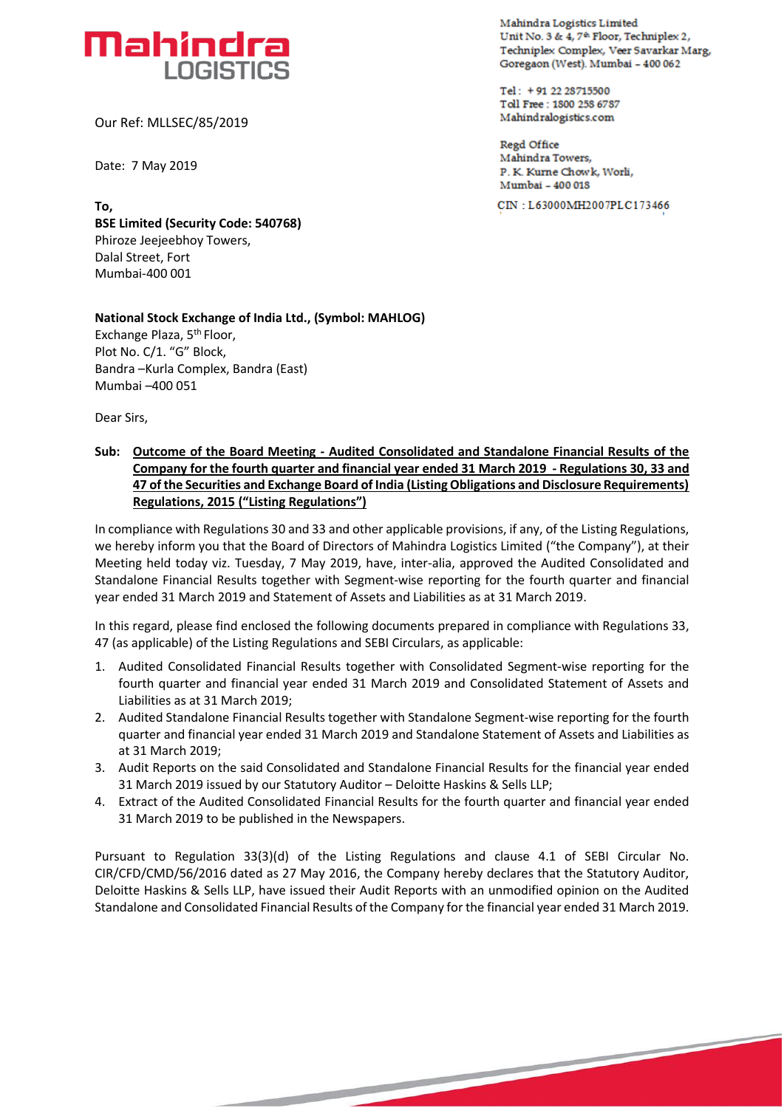# **Mahindra LOGISTICS**

Our Ref: MLLSEC/85/2019

Date: 7 May 2019

**To, BSE Limited (Security Code: 540768)** Phiroze Jeejeebhoy Towers, Dalal Street, Fort Mumbai-400 001

#### **National Stock Exchange of India Ltd., (Symbol: MAHLOG)** Exchange Plaza, 5th Floor, Plot No. C/1. "G" Block, Bandra –Kurla Complex, Bandra (East)

Dear Sirs,

Mumbai –400 051

### **Sub: Outcome of the Board Meeting - Audited Consolidated and Standalone Financial Results of the Company for the fourth quarter and financial year ended 31 March 2019 - Regulations 30, 33 and 47 of the Securities and Exchange Board of India (Listing Obligations and Disclosure Requirements) Regulations, 2015 ("Listing Regulations")**

In compliance with Regulations 30 and 33 and other applicable provisions, if any, of the Listing Regulations, we hereby inform you that the Board of Directors of Mahindra Logistics Limited ("the Company"), at their Meeting held today viz. Tuesday, 7 May 2019, have, inter-alia, approved the Audited Consolidated and Standalone Financial Results together with Segment-wise reporting for the fourth quarter and financial year ended 31 March 2019 and Statement of Assets and Liabilities as at 31 March 2019.

In this regard, please find enclosed the following documents prepared in compliance with Regulations 33, 47 (as applicable) of the Listing Regulations and SEBI Circulars, as applicable:

- 1. Audited Consolidated Financial Results together with Consolidated Segment-wise reporting for the fourth quarter and financial year ended 31 March 2019 and Consolidated Statement of Assets and Liabilities as at 31 March 2019;
- 2. Audited Standalone Financial Results together with Standalone Segment-wise reporting for the fourth quarter and financial year ended 31 March 2019 and Standalone Statement of Assets and Liabilities as at 31 March 2019;
- 3. Audit Reports on the said Consolidated and Standalone Financial Results for the financial year ended 31 March 2019 issued by our Statutory Auditor – Deloitte Haskins & Sells LLP;
- 4. Extract of the Audited Consolidated Financial Results for the fourth quarter and financial year ended 31 March 2019 to be published in the Newspapers.

Pursuant to Regulation 33(3)(d) of the Listing Regulations and clause 4.1 of SEBI Circular No. CIR/CFD/CMD/56/2016 dated as 27 May 2016, the Company hereby declares that the Statutory Auditor, Deloitte Haskins & Sells LLP, have issued their Audit Reports with an unmodified opinion on the Audited Standalone and Consolidated Financial Results of the Company for the financial year ended 31 March 2019.

**Mahindra Losties Limited Unit No. 3 & 4, 7<sup>th</sup> Floor, Techniplex 2, Techniplex Complex, Veer 5 avarkar Margr Goregaort (tvest)\_ mombai - 400 06.2**

Tel: +91 22 28715500 **Toil Fret: 150D 258 6787 Malkindralogistks.c om**

**Regd Office Mahindra Towers, P. K. Kurile Chow k, Work, Mumbai - 400 018** 

**CIN = L63000MH2007PLC173466**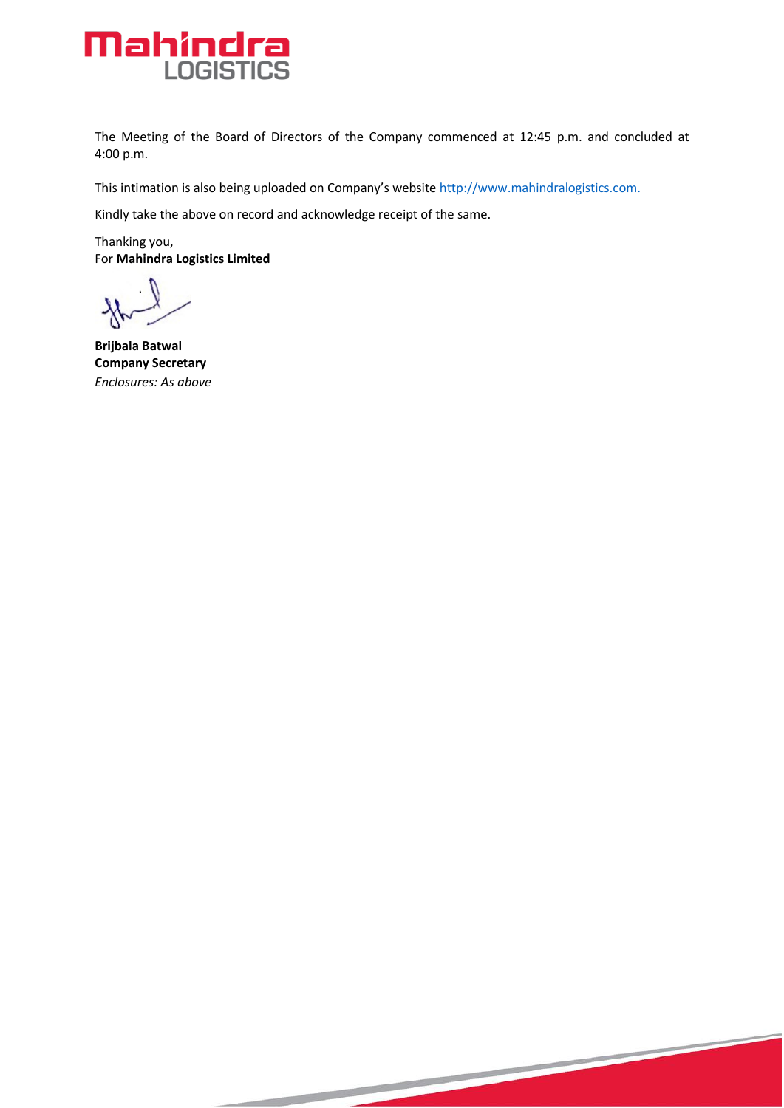

The Meeting of the Board of Directors of the Company commenced at 12:45 p.m. and concluded at 4:00 p.m.

This intimation is also being uploaded on Company's website [http://www.mahindralogistics.com.](http://www.mahindralogistics.com/)

Kindly take the above on record and acknowledge receipt of the same.

Thanking you, For **Mahindra Logistics Limited**

**Brijbala Batwal Company Secretary** *Enclosures: As above*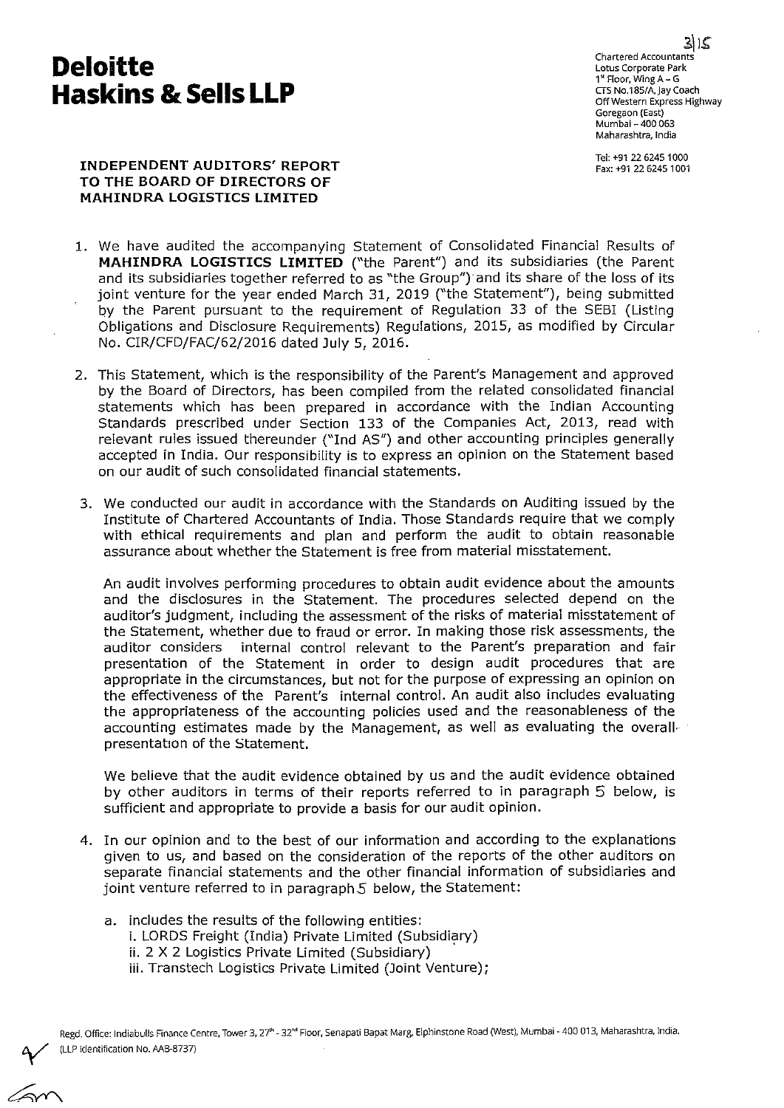## **Deloitte Haskins & Sells LLP**

Chartered Accountants Lotus Corporate Park 1<sup>x</sup> Floor, Wing A - G CTS No.185/A, Jay Coach Off Western Express Highway Goregaon (East) Mumbai - 400 063 Maharashtra, India

Tel: +91 22 6245 1000 Fax: +91 22 6245 1001

#### **INDEPENDENT AUDITORS' REPORT TO THE BOARD OF DIRECTORS OF MAHINDRA LOGISTICS LIMITED**

- 1. We have audited the accompanying Statement of Consolidated Financial Results of **MAHINDRA LOGISTICS LIMITED** ("the Parent") and its subsidiaries (the Parent and its subsidiaries together referred to as "the Group") and its share of the loss of its joint venture for the year ended March 31, 2019 ("the Statement"), being submitted by the Parent pursuant to the requirement of Regulation 33 of the SEBI (Listing Obligations and Disclosure Requirements) Regulations, 2015, as modified by Circular No. CIR/CFD/FAC/62/2016 dated July 5, 2016.
- 2. This Statement, which is the responsibility of the Parent's Management and approved by the Board of Directors, has been compiled from the related consolidated financial statements which has been prepared in accordance with the Indian Accounting Standards prescribed under Section 133 of the Companies Act, 2013, read with relevant rules issued thereunder ("Ind AS") and other accounting principles generally accepted in India. Our responsibility is to express an opinion on the Statement based on our audit of such consolidated financial statements.
- 3. We conducted our audit in accordance with the Standards on Auditing issued by the Institute of Chartered Accountants of India. Those Standards require that we comply with ethical requirements and plan and perform the audit to obtain reasonable assurance about whether the Statement is free from material misstatement.

An audit involves performing procedures to obtain audit evidence about the amounts and the disclosures in the Statement. The procedures selected depend on the auditor's judgment, including the assessment of the risks of material misstatement of the Statement, whether due to fraud or error. In making those risk assessments, the auditor considers internal control relevant to the Parent's preparation and fair presentation of the Statement in order to design audit procedures that are appropriate in the circumstances, but not for the purpose of expressing an opinion on the effectiveness of the Parent's internal control. An audit also includes evaluating the appropriateness of the accounting policies used and the reasonableness of the accounting estimates made by the Management, as well as evaluating the overallpresentation of the Statement.

We believe that the audit evidence obtained by us and the audit evidence obtained by other auditors in terms of their reports referred to in paragraph 5 below, is sufficient and appropriate to provide a basis for our audit opinion.

- 4. In our opinion and to the best of our information and according to the explanations given to us, and based on the consideration of the reports of the other auditors on separate financial statements and the other financial information of subsidiaries and joint venture referred to in paragraph 5 below, the Statement:
	- a. includes the results of the following entities: i. LORDS Freight (India) Private Limited (Subsidiary) ii. 2 X 2 Logistics Private Limited (Subsidiary) iii. Transtech Logistics Private Limited (Joint Venture);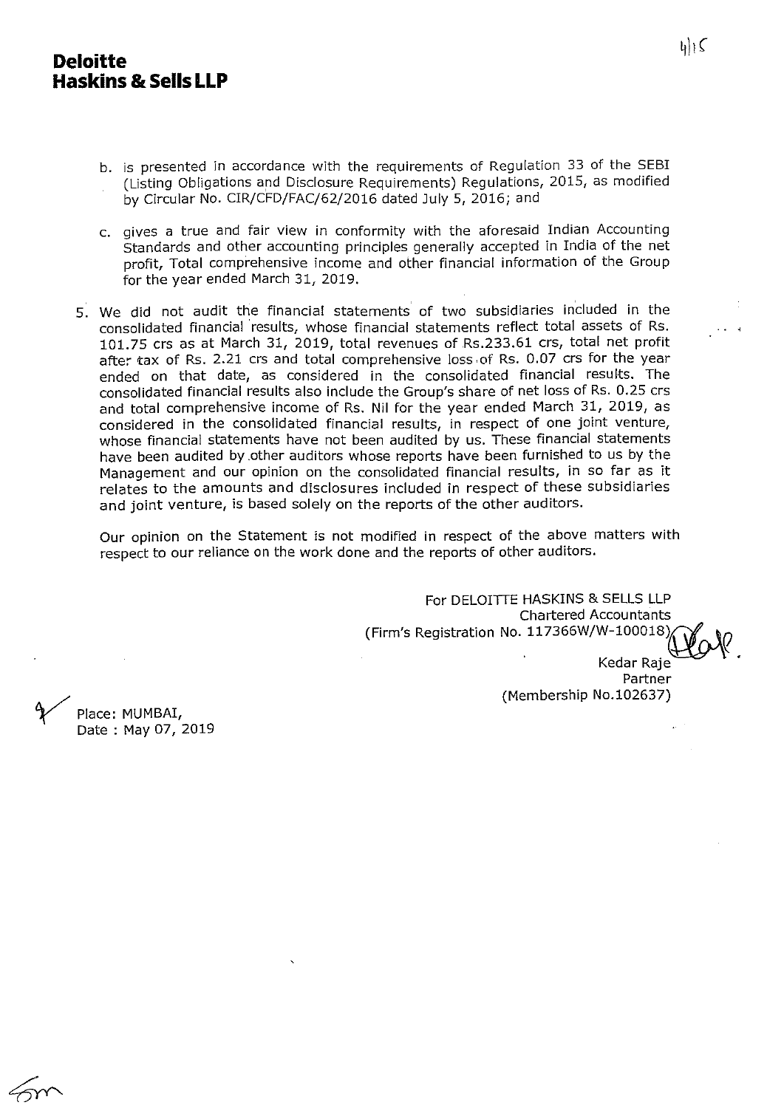### **Deloitte** <sup>411</sup><sup>c</sup> **Haskins & Sells LLP**

- b. is presented in accordance with the requirements of Regulation 33 of the SEBI (Listing Obligations and Disclosure Requirements) Regulations, 2015, as modified by Circular No. CIR/CFD/FAC/62/2016 dated July 5, 2016; and
- c. gives a true and fair view in conformity with the aforesaid Indian Accounting Standards and other accounting principles generally accepted in India of the net profit, Total comprehensive income and other financial information of the Group for the year ended March 31, 2019.
- 5. We did not audit the financial statements of two subsidiaries included in the consolidated financial results, whose financial statements reflect total assets of Rs. 101.75 crs as at March 31, 2019, total revenues of Rs.233.61 crs, total net profit after tax of Rs. 2.21 crs and total comprehensive loss of Rs. 0.07 crs for the year ended on that date, as considered in the consolidated financial results. The consolidated financial results also include the Group's share of net loss of Rs. 0.25 crs and total comprehensive income of Rs. Nil for the year ended March 31, 2019, as considered in the consolidated financial results, in respect of one joint venture, whose financial statements have not been audited by us. These financial statements have been audited by .other auditors whose reports have been furnished to us by the Management and our opinion on the consolidated financial results, in so far as it relates to the amounts and disclosures included in respect of these subsidiaries and joint venture, is based solely on the reports of the other auditors.

Our opinion on the Statement is not modified in respect of the above matters with respect to our reliance on the work done and the reports of other auditors.

> For DELOITTE HASKINS & SELLS LLP Chartered Accountants (Firm's Registration No. 117366W/W-100018) Kedar Raje Partner (Membership No.102637)

Place: MUMBAI, Date : May 07, 2019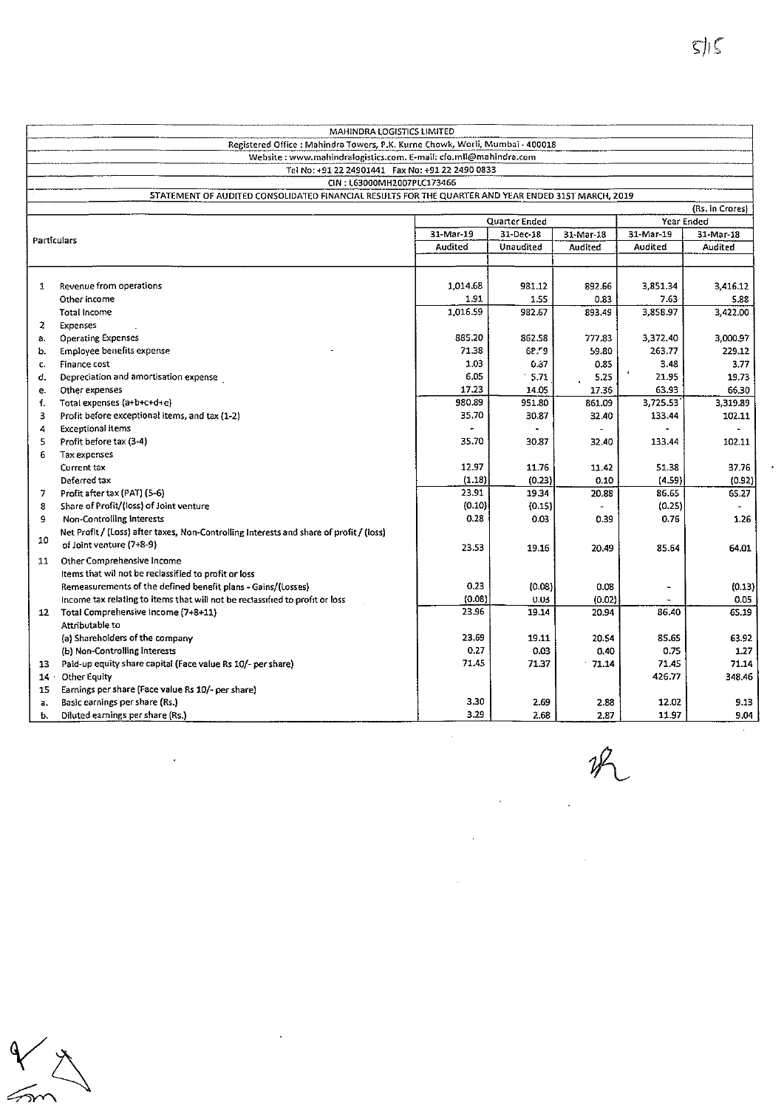$\epsilon$ 

|        | MAHINDRA LOGISTICS LIMITED                                                                          |                            |           |                |            |                 |
|--------|-----------------------------------------------------------------------------------------------------|----------------------------|-----------|----------------|------------|-----------------|
|        | Registered Office: Mahindra Towers, P.K. Kurne Chowk, Worli, Mumbai - 400018                        |                            |           |                |            |                 |
|        | Website: www.mahindralogistics.com. E-mail: cfo.mll@mahindra.com                                    |                            |           |                |            |                 |
|        | Tel No: +91 22 24901441  Fax No: +91 22 2490 0833                                                   |                            |           |                |            |                 |
|        | CIN: L63000MH2007PLC173466                                                                          |                            |           |                |            |                 |
|        | STATEMENT OF AUDITED CONSOLIDATED FINANCIAL RESULTS FOR THE QUARTER AND YEAR ENDED 31ST MARCH, 2019 |                            |           |                |            |                 |
|        |                                                                                                     |                            |           |                |            | (Rs. in Crores) |
|        |                                                                                                     | Quarter Ended<br>31-Mar-19 |           |                | Year Ended |                 |
|        | Particulars                                                                                         |                            | 31-Dec-18 | 31-Mar-18      | 31-Mar-19  | 31-Mar-18       |
|        |                                                                                                     |                            | Unaudited | Audited        | Audited    | Audited         |
|        |                                                                                                     |                            |           |                |            |                 |
| 1      | Revenue from operations                                                                             | 1,014.68                   | 981.12    | 892.66         | 3,851.34   | 3,416.12        |
|        | Other income                                                                                        | 1.91                       | 1.55      | 0.83           | 7.63       | 5.88            |
|        | <b>Total Income</b>                                                                                 | 1,016.59                   | 982.67    | 893.49         | 3,858.97   | 3,422.00        |
| 2      | Expenses                                                                                            |                            |           |                |            |                 |
| а.     | <b>Operating Expenses</b>                                                                           | 885.20                     | 862.58    | 777.83         | 3,372.40   | 3,000.97        |
| b.     | Employee benefits expense                                                                           | 71.38                      | 62.59     | 59.80          | 263.77     | 229.12          |
| c.     | Finance cost                                                                                        | 1.03                       | 0.37      | 0.85           | 3.48       | 3.77            |
| d.     | Depreciation and amortisation expense                                                               | 6.05                       | 5.71      | 5.25           | 21.95      | 19.73           |
| е.     | Other expenses                                                                                      | 17.23                      | 14.05     | 17.36          | 63.93      | 66.30           |
| f.     | Total expenses (a+b+c+d+e)                                                                          | 980.89                     | 951.80    | 861.09         | 3,725.53   | 3,319.89        |
| 3      | Profit before exceptional items, and tax (1-2)                                                      | 35.70                      | 30.87     | 32.40          | 133.44     | 102.11          |
| 4      | <b>Exceptional items</b>                                                                            |                            |           | $\blacksquare$ |            | ÷.              |
| 5      | Profit before tax (3-4)                                                                             | 35.70                      | 30.87     | 32.40          | 133.44     | 102.11          |
| 6      | Tax expenses                                                                                        |                            |           |                |            |                 |
|        | Current tax                                                                                         | 12.97                      | 11.76     | 11.42          | 51.38      | 37.76           |
|        | Deterred tax                                                                                        | (1.18)                     | (0.23)    | 0.10           | (4.59)     | (0.92)          |
| 7      | Profit after tax (PAT) (5-6)                                                                        | 23.91                      | 19.34     | 20.88          | 86.65      | 65.27           |
| 8      | Share of Profit/(loss) of Joint venture                                                             | (0.10)                     | (0.15)    |                | (0.25)     |                 |
| 9      | <b>Non-Controlling Interests</b>                                                                    | 0.28                       | 0.03      | 0.39           | 0.76       | 1.26            |
|        | Net Profit / (Loss) after taxes, Non-Controlling Interests and share of profit / (loss)             |                            |           |                |            |                 |
| 10     | of Joint venture (7+8-9)                                                                            | 23.53                      | 19.16     | 20.49          | 85.64      | 64.01           |
| 11     | Other Comprehensive Income                                                                          |                            |           |                |            |                 |
|        | Items that wil not be reclassified to profit or loss                                                |                            |           |                |            |                 |
|        | Remeasurements of the defined benefit plans - Gains/(Losses)                                        | 0.23                       | (0.08)    | 0.08           |            | (0.13)          |
|        | Income tax relating to items that will not be reclassified to profit or loss                        | (0.08)                     | 0.03      | (0.02)         |            | 0.05            |
| 12     | Total Comprehensive Income (7+8+11)                                                                 | 23.96                      | 19.14     | 20.94          | 86.40      | 65.19           |
|        | Attributable to                                                                                     |                            |           |                |            |                 |
|        | (a) Shareholders of the company                                                                     | 23.69                      | 19.11     | 20.54          | 85.65      | 63.92           |
|        | (b) Non-Controlling interests                                                                       | 0.27                       | 0.03      | 0.40           | 0.75       | 1.27            |
| 13     | Paid-up equity share capital (Face value Rs 10/- per share)                                         | 71.45                      | 71.37     | 71.14          | 71.45      | 71.14           |
| $14 -$ | Other Equity                                                                                        |                            |           |                | 426.77     | 348.46          |
| 15.    | Earnings per share (Face value Rs 10/- per share)                                                   |                            |           |                |            |                 |
| a.     | Basic earnings per share (Rs.)                                                                      | 3.30                       | 2.69      | 2.88           | 12.02      | 9.13            |
| b.     | Diluted earnings per share (Rs.)                                                                    | 3.29                       | 2.68      | 2.87           | 11.97      | 9.04            |

 $\ddot{\phantom{0}}$ 

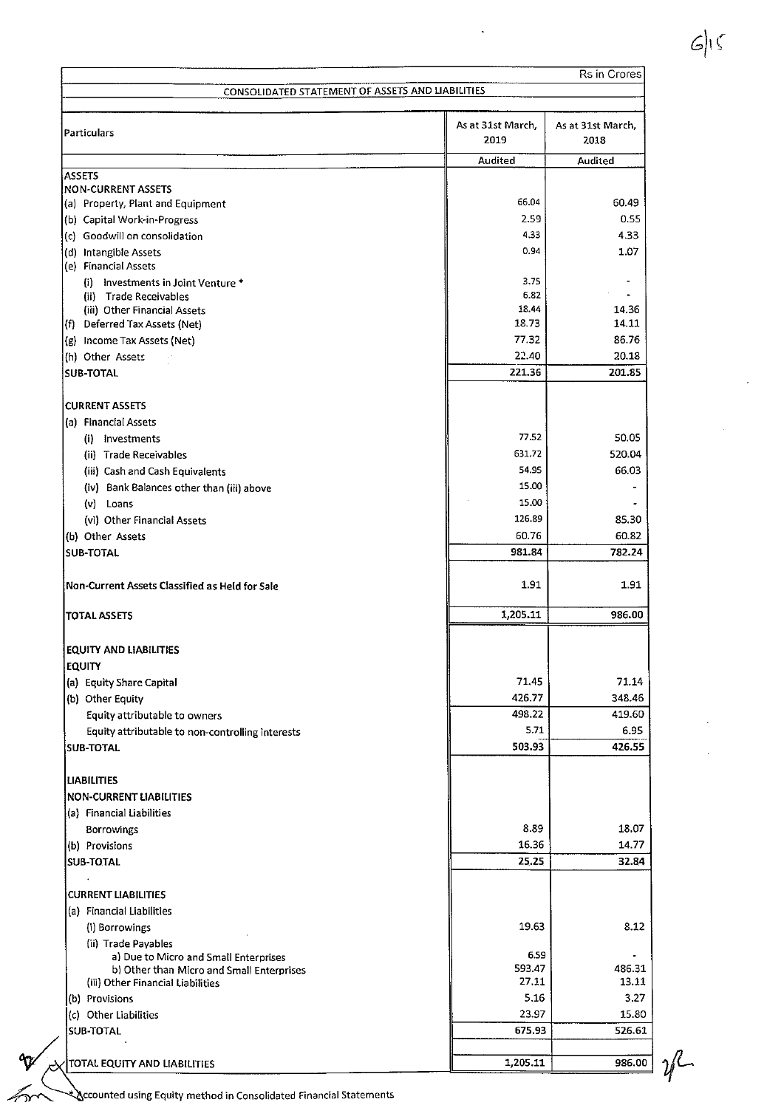| CONSOLIDATED STATEMENT OF ASSETS AND LIABILITIES |                           | Rs in Crores              |  |
|--------------------------------------------------|---------------------------|---------------------------|--|
|                                                  |                           |                           |  |
| Particulars                                      | As at 31st March,<br>2019 | As at 31st March,<br>2018 |  |
|                                                  | Audited                   | Audited                   |  |
| <b>ASSETS</b><br><b>NON-CURRENT ASSETS</b>       |                           |                           |  |
| (a) Property, Plant and Equipment                | 66.04                     | 60.49                     |  |
| (b) Capital Work-in-Progress                     | 2.59                      | 0.55                      |  |
| (c) Goodwill on consolidation                    | 4.33                      | 4.33                      |  |
| (d) Intangible Assets                            | 0.94                      | 1.07                      |  |
| (e) Financial Assets                             |                           |                           |  |
| (i) Investments in Joint Venture *               | 3.75                      |                           |  |
| (ii) Trade Receivables                           | 6.82                      |                           |  |
| (iii) Other Financial Assets                     | 18.44                     | 14.36                     |  |
| (f) Deferred Tax Assets (Net)                    | 18.73                     | 14.11                     |  |
| (g) Income Tax Assets (Net)                      | 77.32                     | 86.76                     |  |
| (h) Other Assets                                 | 22.40                     | 20.18                     |  |
| <b>SUB-TOTAL</b>                                 | 221.36                    | 201.85                    |  |
| <b>CURRENT ASSETS</b>                            |                           |                           |  |
| (a) Financial Assets                             |                           |                           |  |
| (i) Investments                                  | 77.52                     | 50.05                     |  |
| (ii) Trade Receivables                           | 631.72                    | 520.04                    |  |
| (iii) Cash and Cash Equivalents                  | 54.95                     | 66.03                     |  |
| (iv) Bank Balances other than (iii) above        | 15.00                     |                           |  |
| (v) Loans                                        | 15.00                     |                           |  |
| (vi) Other Financial Assets                      | 126.89                    | 85.30                     |  |
| (b) Other Assets                                 | 60.76                     | 60.82                     |  |
| <b>SUB-TOTAL</b>                                 | 981.84                    | 782.24                    |  |
|                                                  |                           |                           |  |
| Non-Current Assets Classified as Held for Sale   | 1.91                      | 1.91                      |  |
| <b>TOTAL ASSETS</b>                              | 1,205.11                  | 986.00                    |  |
| EQUITY AND LIABILITIES                           |                           |                           |  |
| <b>EQUITY</b>                                    |                           |                           |  |
| (a) Equity Share Capital                         | 71.45                     | 71.14                     |  |
| (b) Other Equity                                 | 426.77                    | 348.46                    |  |
| Equity attributable to owners                    | 498.22                    | 419.60                    |  |
| Equity attributable to non-controlling interests | 5.71                      | 6.95                      |  |
| <b>SUB-TOTAL</b>                                 | 503.93                    | 426.55                    |  |
| <b>LIABILITIES</b>                               |                           |                           |  |
| <b>NON-CURRENT LIABILITIES</b>                   |                           |                           |  |
| (a) Financial Liabilities                        |                           |                           |  |
|                                                  | 8.89                      | 18.07                     |  |
| Borrowings                                       | 16.36                     | 14.77                     |  |
| (b) Provisions<br><b>SUB-TOTAL</b>               | 25.25                     | 32.84                     |  |
|                                                  |                           |                           |  |
| <b>CURRENT LIABILITIES</b>                       |                           |                           |  |
| (a) Financial Liabilities                        |                           |                           |  |
| (i) Borrowings                                   | 19.63                     | 8.12                      |  |
| (ii) Trade Payables                              |                           |                           |  |
| a) Due to Micro and Small Enterprises            | 6.59                      |                           |  |
| b) Other than Micro and Small Enterprises        | 593.47                    | 486.31                    |  |
| (iii) Other Financial Liabilities                | 27.11                     | 13.11                     |  |
| (b) Provisions                                   | 5.16                      | 3.27                      |  |
| (c) Other Liabilities                            | 23.97                     | 15.80                     |  |
| SUB-TOTAL                                        | 675.93                    | 526.61                    |  |
|                                                  |                           |                           |  |
| TOTAL EQUITY AND LIABILITIES                     | 1,205.11                  | 986.00                    |  |

**ccounted using Equity method in Consolidated Financial Statements** 

 $\ddot{\mathbf{r}}$ 

 $\mathcal{U}$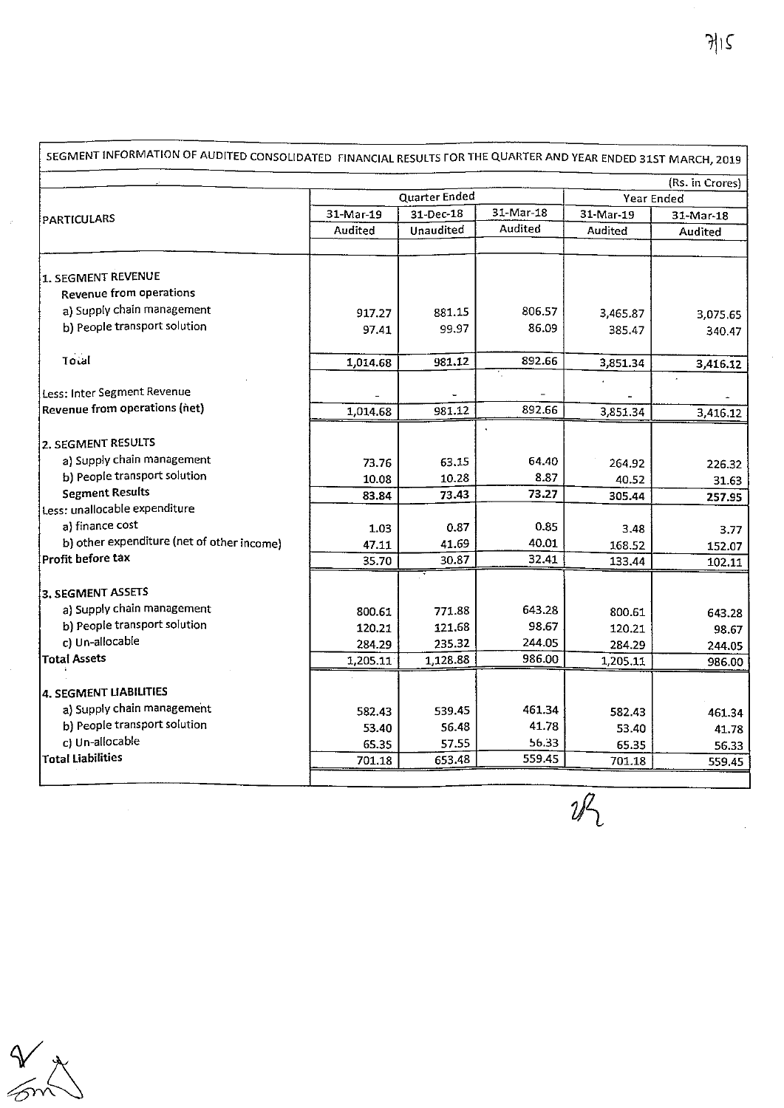|                                            |           |                  |            |           | (Rs. in Crores)  |
|--------------------------------------------|-----------|------------------|------------|-----------|------------------|
|                                            |           | Quarter Ended    | Year Ended |           |                  |
|                                            | 31-Mar-19 | 31-Dec-18        | 31-Mar-18  | 31-Mar-19 | 31-Mar-18        |
| PARTICULARS                                | Audited   | <b>Unaudited</b> | Audited    | Audited   | Audited          |
|                                            |           |                  |            |           |                  |
| 1. SEGMENT REVENUE                         |           |                  |            |           |                  |
| <b>Revenue from operations</b>             |           |                  |            |           |                  |
| a) Supply chain management                 | 917.27    | 881.15           | 806.57     | 3,465.87  | 3,075.65         |
| b) People transport solution               | 97.41     | 99.97            | 86.09      | 385.47    | 340.47           |
|                                            |           |                  |            |           |                  |
| <b>Total</b>                               | 1,014.68  | 981.12           | 892.66     | 3,851.34  | 3,416.12         |
|                                            |           |                  |            |           |                  |
| Less: Inter Segment Revenue                |           |                  |            |           |                  |
| Revenue from operations (net)              | 1,014.68  | 981.12           | 892.66     | 3,851.34  | 3,416.12         |
| 2. SEGMENT RESULTS                         |           |                  |            |           |                  |
| a) Supply chain management                 |           | 63.15            | 64.40      |           |                  |
| b) People transport solution               | 73.76     | 10.28            | 8.87       | 264.92    | 226.32           |
| <b>Segment Results</b>                     | 10.08     | 73.43            | 73.27      | 40.52     | 31.63            |
| Less: unallocable expenditure              | 83.84     |                  |            | 305.44    | 257.95           |
| a) finance cost                            | 1.03      | 0.87             | 0.85       | 3.48      |                  |
| b) other expenditure (net of other income) | 47.11     | 41.69            | 40.01      | 168.52    | 3.77             |
| Profit before tax                          | 35.70     | 30.87            | 32.41      | 133.44    | 152.07<br>102.11 |
|                                            |           |                  |            |           |                  |
| 3. SEGMENT ASSETS                          |           |                  |            |           |                  |
| a) Supply chain management                 | 800.61    | 771.88           | 643.28     | 800.61    | 643.28           |
| b) People transport solution               | 120.21    | 121.68           | 98.67      | 120.21    | 98.67            |
| c) Un-allocable                            | 284.29    | 235.32           | 244.05     | 284.29    | 244.05           |
| <b>Total Assets</b>                        | 1,205.11  | 1,128.88         | 986.00     | 1,205.11  | 986.00           |
|                                            |           |                  |            |           |                  |
| 4. SEGMENT LIABILITIES                     |           |                  |            |           |                  |
| a) Supply chain management                 | 582.43    | 539.45           | 461.34     | 582.43    | 461.34           |
| b) People transport solution               | 53.40     | 56.48            | 41.78      | 53.40     | 41.78            |
| c) Un-allocable                            | 65.35     | 57.55            | 56.33      | 65.35     | 56.33            |
| <b>Total Liabilities</b>                   | 701.18    | 653.48           | 559.45     | 701.18    | 559.45           |

 $\overline{\mathscr{U}_2}$